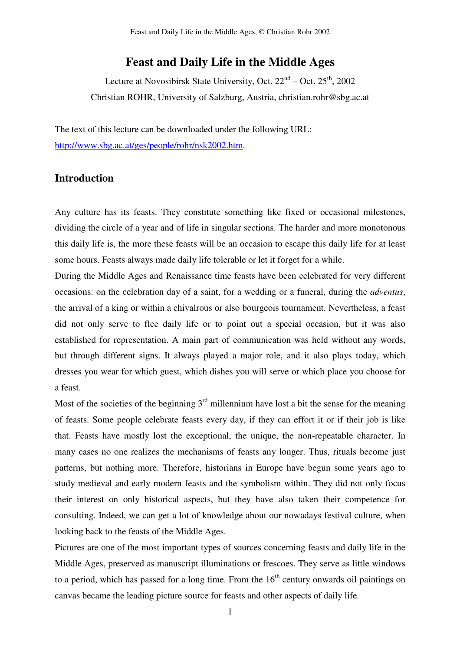# **Feast and Daily Life in the Middle Ages**

Lecture at Novosibirsk State University, Oct. 22<sup>nd</sup> – Oct. 25<sup>th</sup>, 2002 Christian ROHR, University of Salzburg, Austria, christian.rohr@sbg.ac.at

The text of this lecture can be downloaded under the following URL: http://www.sbg.ac.at/ges/people/rohr/nsk2002.htm.

# **Introduction**

Any culture has its feasts. They constitute something like fixed or occasional milestones, dividing the circle of a year and of life in singular sections. The harder and more monotonous this daily life is, the more these feasts will be an occasion to escape this daily life for at least some hours. Feasts always made daily life tolerable or let it forget for a while.

During the Middle Ages and Renaissance time feasts have been celebrated for very different occasions: on the celebration day of a saint, for a wedding or a funeral, during the *adventus*, the arrival of a king or within a chivalrous or also bourgeois tournament. Nevertheless, a feast did not only serve to flee daily life or to point out a special occasion, but it was also established for representation. A main part of communication was held without any words, but through different signs. It always played a major role, and it also plays today, which dresses you wear for which guest, which dishes you will serve or which place you choose for a feast.

Most of the societies of the beginning  $3<sup>rd</sup>$  millennium have lost a bit the sense for the meaning of feasts. Some people celebrate feasts every day, if they can effort it or if their job is like that. Feasts have mostly lost the exceptional, the unique, the non-repeatable character. In many cases no one realizes the mechanisms of feasts any longer. Thus, rituals become just patterns, but nothing more. Therefore, historians in Europe have begun some years ago to study medieval and early modern feasts and the symbolism within. They did not only focus their interest on only historical aspects, but they have also taken their competence for consulting. Indeed, we can get a lot of knowledge about our nowadays festival culture, when looking back to the feasts of the Middle Ages.

Pictures are one of the most important types of sources concerning feasts and daily life in the Middle Ages, preserved as manuscript illuminations or frescoes. They serve as little windows to a period, which has passed for a long time. From the  $16<sup>th</sup>$  century onwards oil paintings on canvas became the leading picture source for feasts and other aspects of daily life.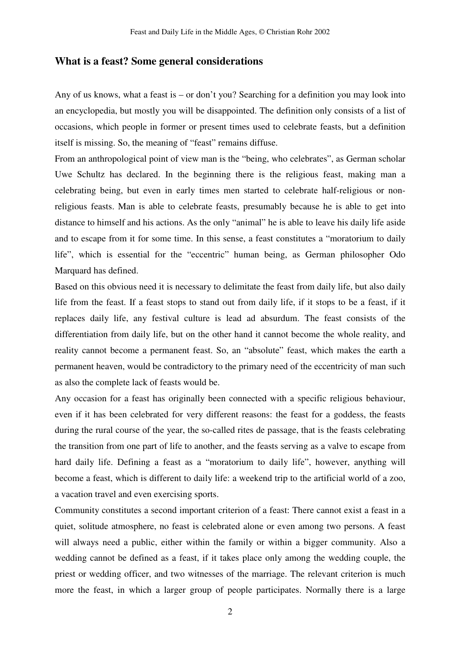# **What is a feast? Some general considerations**

Any of us knows, what a feast is – or don't you? Searching for a definition you may look into an encyclopedia, but mostly you will be disappointed. The definition only consists of a list of occasions, which people in former or present times used to celebrate feasts, but a definition itself is missing. So, the meaning of "feast" remains diffuse.

From an anthropological point of view man is the "being, who celebrates", as German scholar Uwe Schultz has declared. In the beginning there is the religious feast, making man a celebrating being, but even in early times men started to celebrate half-religious or nonreligious feasts. Man is able to celebrate feasts, presumably because he is able to get into distance to himself and his actions. As the only "animal" he is able to leave his daily life aside and to escape from it for some time. In this sense, a feast constitutes a "moratorium to daily life", which is essential for the "eccentric" human being, as German philosopher Odo Marquard has defined.

Based on this obvious need it is necessary to delimitate the feast from daily life, but also daily life from the feast. If a feast stops to stand out from daily life, if it stops to be a feast, if it replaces daily life, any festival culture is lead ad absurdum. The feast consists of the differentiation from daily life, but on the other hand it cannot become the whole reality, and reality cannot become a permanent feast. So, an "absolute" feast, which makes the earth a permanent heaven, would be contradictory to the primary need of the eccentricity of man such as also the complete lack of feasts would be.

Any occasion for a feast has originally been connected with a specific religious behaviour, even if it has been celebrated for very different reasons: the feast for a goddess, the feasts during the rural course of the year, the so-called rites de passage, that is the feasts celebrating the transition from one part of life to another, and the feasts serving as a valve to escape from hard daily life. Defining a feast as a "moratorium to daily life", however, anything will become a feast, which is different to daily life: a weekend trip to the artificial world of a zoo, a vacation travel and even exercising sports.

Community constitutes a second important criterion of a feast: There cannot exist a feast in a quiet, solitude atmosphere, no feast is celebrated alone or even among two persons. A feast will always need a public, either within the family or within a bigger community. Also a wedding cannot be defined as a feast, if it takes place only among the wedding couple, the priest or wedding officer, and two witnesses of the marriage. The relevant criterion is much more the feast, in which a larger group of people participates. Normally there is a large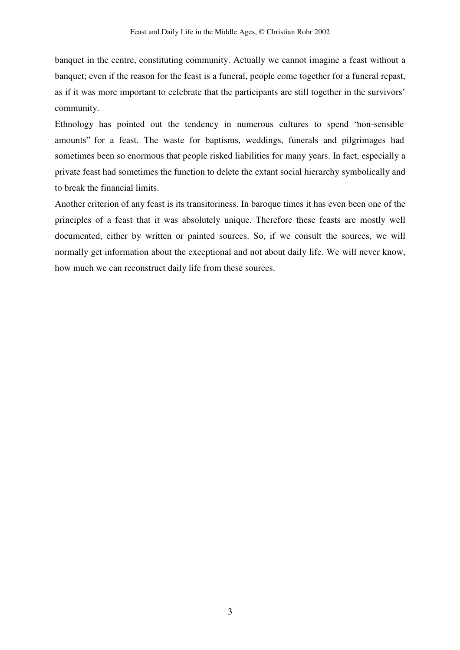banquet in the centre, constituting community. Actually we cannot imagine a feast without a banquet; even if the reason for the feast is a funeral, people come together for a funeral repast, as if it was more important to celebrate that the participants are still together in the survivors' community.

Ethnology has pointed out the tendency in numerous cultures to spend "non-sensible amounts" for a feast. The waste for baptisms, weddings, funerals and pilgrimages had sometimes been so enormous that people risked liabilities for many years. In fact, especially a private feast had sometimes the function to delete the extant social hierarchy symbolically and to break the financial limits.

Another criterion of any feast is its transitoriness. In baroque times it has even been one of the principles of a feast that it was absolutely unique. Therefore these feasts are mostly well documented, either by written or painted sources. So, if we consult the sources, we will normally get information about the exceptional and not about daily life. We will never know, how much we can reconstruct daily life from these sources.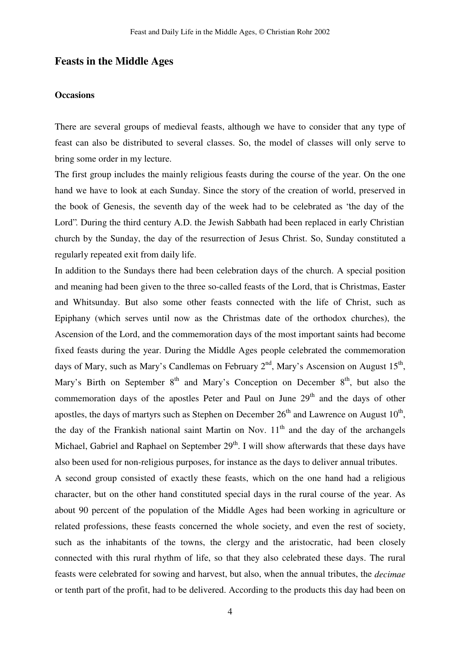# **Feasts in the Middle Ages**

#### **Occasions**

There are several groups of medieval feasts, although we have to consider that any type of feast can also be distributed to several classes. So, the model of classes will only serve to bring some order in my lecture.

The first group includes the mainly religious feasts during the course of the year. On the one hand we have to look at each Sunday. Since the story of the creation of world, preserved in the book of Genesis, the seventh day of the week had to be celebrated as "the day of the Lord". During the third century A.D. the Jewish Sabbath had been replaced in early Christian church by the Sunday, the day of the resurrection of Jesus Christ. So, Sunday constituted a regularly repeated exit from daily life.

In addition to the Sundays there had been celebration days of the church. A special position and meaning had been given to the three so-called feasts of the Lord, that is Christmas, Easter and Whitsunday. But also some other feasts connected with the life of Christ, such as Epiphany (which serves until now as the Christmas date of the orthodox churches), the Ascension of the Lord, and the commemoration days of the most important saints had become fixed feasts during the year. During the Middle Ages people celebrated the commemoration days of Mary, such as Mary's Candlemas on February 2<sup>nd</sup>, Mary's Ascension on August 15<sup>th</sup>, Mary's Birth on September  $8<sup>th</sup>$  and Mary's Conception on December  $8<sup>th</sup>$ , but also the commemoration days of the apostles Peter and Paul on June 29<sup>th</sup> and the days of other apostles, the days of martyrs such as Stephen on December  $26^{th}$  and Lawrence on August  $10^{th}$ , the day of the Frankish national saint Martin on Nov.  $11<sup>th</sup>$  and the day of the archangels Michael, Gabriel and Raphael on September 29<sup>th</sup>. I will show afterwards that these days have also been used for non-religious purposes, for instance as the days to deliver annual tributes.

A second group consisted of exactly these feasts, which on the one hand had a religious character, but on the other hand constituted special days in the rural course of the year. As about 90 percent of the population of the Middle Ages had been working in agriculture or related professions, these feasts concerned the whole society, and even the rest of society, such as the inhabitants of the towns, the clergy and the aristocratic, had been closely connected with this rural rhythm of life, so that they also celebrated these days. The rural feasts were celebrated for sowing and harvest, but also, when the annual tributes, the *decimae* or tenth part of the profit, had to be delivered. According to the products this day had been on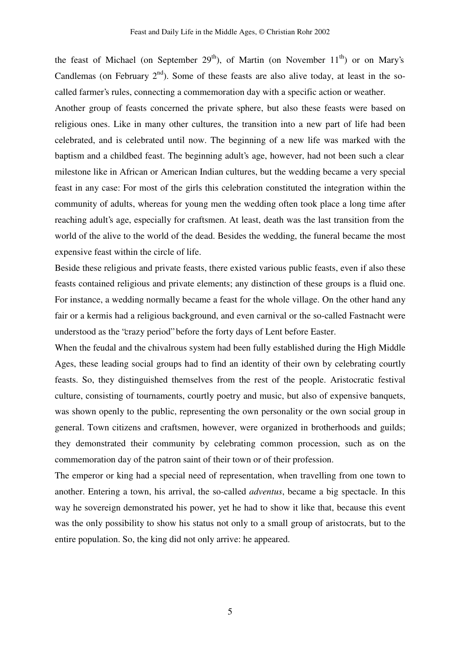the feast of Michael (on September 29<sup>th</sup>), of Martin (on November 11<sup>th</sup>) or on Mary's Candlemas (on February  $2<sup>nd</sup>$ ). Some of these feasts are also alive today, at least in the socalled farmer's rules, connecting a commemoration day with a specific action or weather.

Another group of feasts concerned the private sphere, but also these feasts were based on religious ones. Like in many other cultures, the transition into a new part of life had been celebrated, and is celebrated until now. The beginning of a new life was marked with the baptism and a childbed feast. The beginning adult's age, however, had not been such a clear milestone like in African or American Indian cultures, but the wedding became a very special feast in any case: For most of the girls this celebration constituted the integration within the community of adults, whereas for young men the wedding often took place a long time after reaching adult's age, especially for craftsmen. At least, death was the last transition from the world of the alive to the world of the dead. Besides the wedding, the funeral became the most expensive feast within the circle of life.

Beside these religious and private feasts, there existed various public feasts, even if also these feasts contained religious and private elements; any distinction of these groups is a fluid one. For instance, a wedding normally became a feast for the whole village. On the other hand any fair or a kermis had a religious background, and even carnival or the so-called Fastnacht were understood as the "crazy period" before the forty days of Lent before Easter.

When the feudal and the chivalrous system had been fully established during the High Middle Ages, these leading social groups had to find an identity of their own by celebrating courtly feasts. So, they distinguished themselves from the rest of the people. Aristocratic festival culture, consisting of tournaments, courtly poetry and music, but also of expensive banquets, was shown openly to the public, representing the own personality or the own social group in general. Town citizens and craftsmen, however, were organized in brotherhoods and guilds; they demonstrated their community by celebrating common procession, such as on the commemoration day of the patron saint of their town or of their profession.

The emperor or king had a special need of representation, when travelling from one town to another. Entering a town, his arrival, the so-called *adventus*, became a big spectacle. In this way he sovereign demonstrated his power, yet he had to show it like that, because this event was the only possibility to show his status not only to a small group of aristocrats, but to the entire population. So, the king did not only arrive: he appeared.

5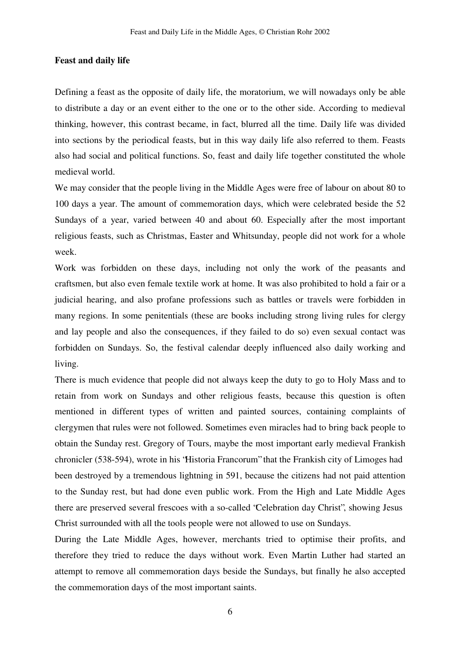#### **Feast and daily life**

Defining a feast as the opposite of daily life, the moratorium, we will nowadays only be able to distribute a day or an event either to the one or to the other side. According to medieval thinking, however, this contrast became, in fact, blurred all the time. Daily life was divided into sections by the periodical feasts, but in this way daily life also referred to them. Feasts also had social and political functions. So, feast and daily life together constituted the whole medieval world.

We may consider that the people living in the Middle Ages were free of labour on about 80 to 100 days a year. The amount of commemoration days, which were celebrated beside the 52 Sundays of a year, varied between 40 and about 60. Especially after the most important religious feasts, such as Christmas, Easter and Whitsunday, people did not work for a whole week.

Work was forbidden on these days, including not only the work of the peasants and craftsmen, but also even female textile work at home. It was also prohibited to hold a fair or a judicial hearing, and also profane professions such as battles or travels were forbidden in many regions. In some penitentials (these are books including strong living rules for clergy and lay people and also the consequences, if they failed to do so) even sexual contact was forbidden on Sundays. So, the festival calendar deeply influenced also daily working and living.

There is much evidence that people did not always keep the duty to go to Holy Mass and to retain from work on Sundays and other religious feasts, because this question is often mentioned in different types of written and painted sources, containing complaints of clergymen that rules were not followed. Sometimes even miracles had to bring back people to obtain the Sunday rest. Gregory of Tours, maybe the most important early medieval Frankish chronicler (538-594), wrote in his "Historia Francorum" that the Frankish city of Limoges had been destroyed by a tremendous lightning in 591, because the citizens had not paid attention to the Sunday rest, but had done even public work. From the High and Late Middle Ages there are preserved several frescoes with a so-called "Celebration day Christ", showing Jesus Christ surrounded with all the tools people were not allowed to use on Sundays.

During the Late Middle Ages, however, merchants tried to optimise their profits, and therefore they tried to reduce the days without work. Even Martin Luther had started an attempt to remove all commemoration days beside the Sundays, but finally he also accepted the commemoration days of the most important saints.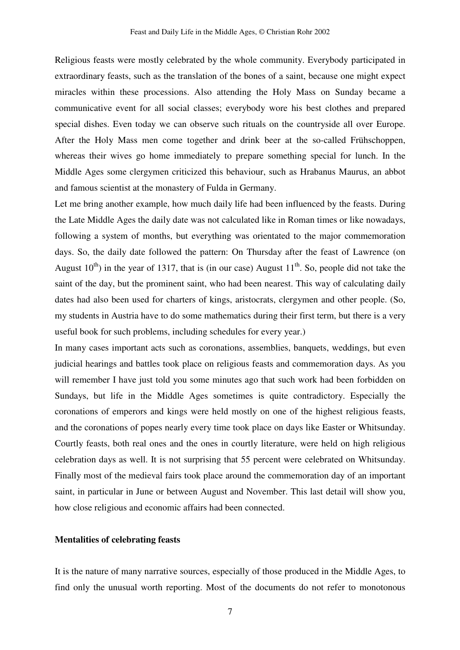Religious feasts were mostly celebrated by the whole community. Everybody participated in extraordinary feasts, such as the translation of the bones of a saint, because one might expect miracles within these processions. Also attending the Holy Mass on Sunday became a communicative event for all social classes; everybody wore his best clothes and prepared special dishes. Even today we can observe such rituals on the countryside all over Europe. After the Holy Mass men come together and drink beer at the so-called Frühschoppen, whereas their wives go home immediately to prepare something special for lunch. In the Middle Ages some clergymen criticized this behaviour, such as Hrabanus Maurus, an abbot and famous scientist at the monastery of Fulda in Germany.

Let me bring another example, how much daily life had been influenced by the feasts. During the Late Middle Ages the daily date was not calculated like in Roman times or like nowadays, following a system of months, but everything was orientated to the major commemoration days. So, the daily date followed the pattern: On Thursday after the feast of Lawrence (on August  $10^{th}$ ) in the year of 1317, that is (in our case) August  $11^{th}$ . So, people did not take the saint of the day, but the prominent saint, who had been nearest. This way of calculating daily dates had also been used for charters of kings, aristocrats, clergymen and other people. (So, my students in Austria have to do some mathematics during their first term, but there is a very useful book for such problems, including schedules for every year.)

In many cases important acts such as coronations, assemblies, banquets, weddings, but even judicial hearings and battles took place on religious feasts and commemoration days. As you will remember I have just told you some minutes ago that such work had been forbidden on Sundays, but life in the Middle Ages sometimes is quite contradictory. Especially the coronations of emperors and kings were held mostly on one of the highest religious feasts, and the coronations of popes nearly every time took place on days like Easter or Whitsunday. Courtly feasts, both real ones and the ones in courtly literature, were held on high religious celebration days as well. It is not surprising that 55 percent were celebrated on Whitsunday. Finally most of the medieval fairs took place around the commemoration day of an important saint, in particular in June or between August and November. This last detail will show you, how close religious and economic affairs had been connected.

#### **Mentalities of celebrating feasts**

It is the nature of many narrative sources, especially of those produced in the Middle Ages, to find only the unusual worth reporting. Most of the documents do not refer to monotonous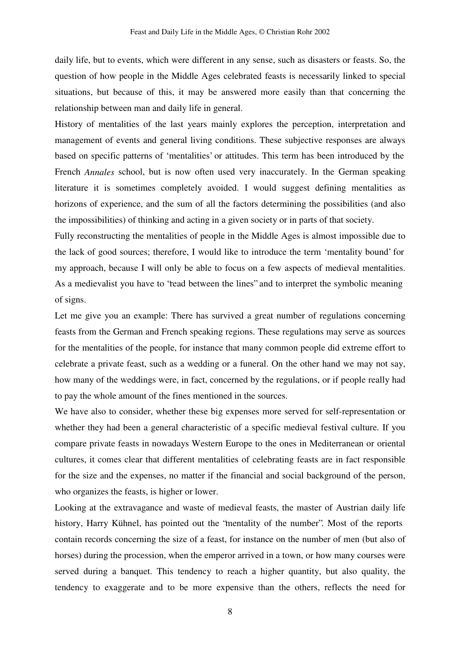daily life, but to events, which were different in any sense, such as disasters or feasts. So, the question of how people in the Middle Ages celebrated feasts is necessarily linked to special situations, but because of this, it may be answered more easily than that concerning the relationship between man and daily life in general.

History of mentalities of the last years mainly explores the perception, interpretation and management of events and general living conditions. These subjective responses are always based on specific patterns of 'mentalities' or attitudes. This term has been introduced by the French *Annales* school, but is now often used very inaccurately. In the German speaking literature it is sometimes completely avoided. I would suggest defining mentalities as horizons of experience, and the sum of all the factors determining the possibilities (and also the impossibilities) of thinking and acting in a given society or in parts of that society.

Fully reconstructing the mentalities of people in the Middle Ages is almost impossible due to the lack of good sources; therefore, I would like to introduce the term 'mentality bound' for my approach, because I will only be able to focus on a few aspects of medieval mentalities. As a medievalist you have to "read between the lines" and to interpret the symbolic meaning of signs.

Let me give you an example: There has survived a great number of regulations concerning feasts from the German and French speaking regions. These regulations may serve as sources for the mentalities of the people, for instance that many common people did extreme effort to celebrate a private feast, such as a wedding or a funeral. On the other hand we may not say, how many of the weddings were, in fact, concerned by the regulations, or if people really had to pay the whole amount of the fines mentioned in the sources.

We have also to consider, whether these big expenses more served for self-representation or whether they had been a general characteristic of a specific medieval festival culture. If you compare private feasts in nowadays Western Europe to the ones in Mediterranean or oriental cultures, it comes clear that different mentalities of celebrating feasts are in fact responsible for the size and the expenses, no matter if the financial and social background of the person, who organizes the feasts, is higher or lower.

Looking at the extravagance and waste of medieval feasts, the master of Austrian daily life history, Harry Kühnel, has pointed out the "mentality of the number". Most of the reports contain records concerning the size of a feast, for instance on the number of men (but also of horses) during the procession, when the emperor arrived in a town, or how many courses were served during a banquet. This tendency to reach a higher quantity, but also quality, the tendency to exaggerate and to be more expensive than the others, reflects the need for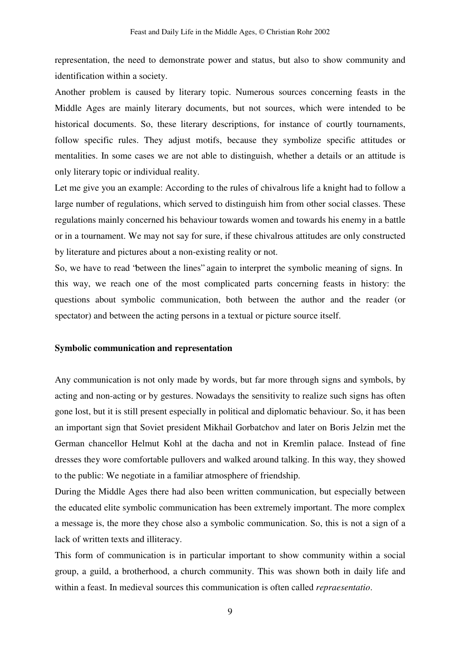representation, the need to demonstrate power and status, but also to show community and identification within a society.

Another problem is caused by literary topic. Numerous sources concerning feasts in the Middle Ages are mainly literary documents, but not sources, which were intended to be historical documents. So, these literary descriptions, for instance of courtly tournaments, follow specific rules. They adjust motifs, because they symbolize specific attitudes or mentalities. In some cases we are not able to distinguish, whether a details or an attitude is only literary topic or individual reality.

Let me give you an example: According to the rules of chivalrous life a knight had to follow a large number of regulations, which served to distinguish him from other social classes. These regulations mainly concerned his behaviour towards women and towards his enemy in a battle or in a tournament. We may not say for sure, if these chivalrous attitudes are only constructed by literature and pictures about a non-existing reality or not.

So, we have to read "between the lines" again to interpret the symbolic meaning of signs. In this way, we reach one of the most complicated parts concerning feasts in history: the questions about symbolic communication, both between the author and the reader (or spectator) and between the acting persons in a textual or picture source itself.

#### **Symbolic communication and representation**

Any communication is not only made by words, but far more through signs and symbols, by acting and non-acting or by gestures. Nowadays the sensitivity to realize such signs has often gone lost, but it is still present especially in political and diplomatic behaviour. So, it has been an important sign that Soviet president Mikhail Gorbatchov and later on Boris Jelzin met the German chancellor Helmut Kohl at the dacha and not in Kremlin palace. Instead of fine dresses they wore comfortable pullovers and walked around talking. In this way, they showed to the public: We negotiate in a familiar atmosphere of friendship.

During the Middle Ages there had also been written communication, but especially between the educated elite symbolic communication has been extremely important. The more complex a message is, the more they chose also a symbolic communication. So, this is not a sign of a lack of written texts and illiteracy.

This form of communication is in particular important to show community within a social group, a guild, a brotherhood, a church community. This was shown both in daily life and within a feast. In medieval sources this communication is often called *repraesentatio*.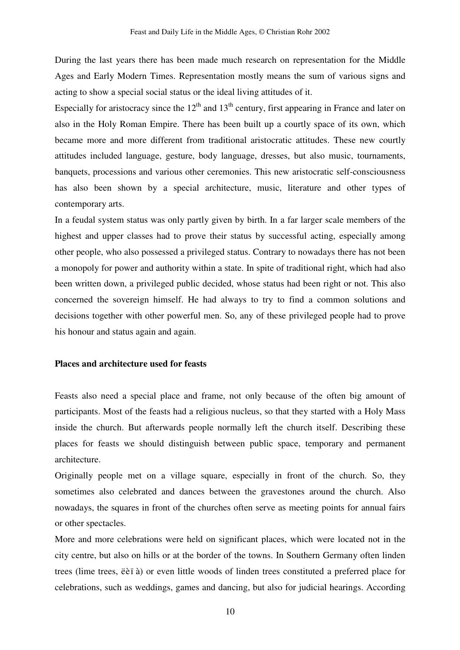During the last years there has been made much research on representation for the Middle Ages and Early Modern Times. Representation mostly means the sum of various signs and acting to show a special social status or the ideal living attitudes of it.

Especially for aristocracy since the  $12<sup>th</sup>$  and  $13<sup>th</sup>$  century, first appearing in France and later on also in the Holy Roman Empire. There has been built up a courtly space of its own, which became more and more different from traditional aristocratic attitudes. These new courtly attitudes included language, gesture, body language, dresses, but also music, tournaments, banquets, processions and various other ceremonies. This new aristocratic self-consciousness has also been shown by a special architecture, music, literature and other types of contemporary arts.

In a feudal system status was only partly given by birth. In a far larger scale members of the highest and upper classes had to prove their status by successful acting, especially among other people, who also possessed a privileged status. Contrary to nowadays there has not been a monopoly for power and authority within a state. In spite of traditional right, which had also been written down, a privileged public decided, whose status had been right or not. This also concerned the sovereign himself. He had always to try to find a common solutions and decisions together with other powerful men. So, any of these privileged people had to prove his honour and status again and again.

#### **Places and architecture used for feasts**

Feasts also need a special place and frame, not only because of the often big amount of participants. Most of the feasts had a religious nucleus, so that they started with a Holy Mass inside the church. But afterwards people normally left the church itself. Describing these places for feasts we should distinguish between public space, temporary and permanent architecture.

Originally people met on a village square, especially in front of the church. So, they sometimes also celebrated and dances between the gravestones around the church. Also nowadays, the squares in front of the churches often serve as meeting points for annual fairs or other spectacles.

More and more celebrations were held on significant places, which were located not in the city centre, but also on hills or at the border of the towns. In Southern Germany often linden trees (lime trees, ëèï à) or even little woods of linden trees constituted a preferred place for celebrations, such as weddings, games and dancing, but also for judicial hearings. According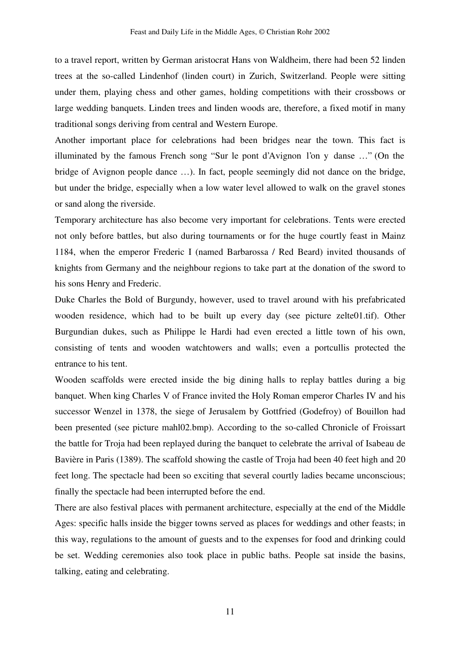to a travel report, written by German aristocrat Hans von Waldheim, there had been 52 linden trees at the so-called Lindenhof (linden court) in Zurich, Switzerland. People were sitting under them, playing chess and other games, holding competitions with their crossbows or large wedding banquets. Linden trees and linden woods are, therefore, a fixed motif in many traditional songs deriving from central and Western Europe.

Another important place for celebrations had been bridges near the town. This fact is illuminated by the famous French song " Sur le pont d'Avignon l'on y danse …" (On the bridge of Avignon people dance …). In fact, people seemingly did not dance on the bridge, but under the bridge, especially when a low water level allowed to walk on the gravel stones or sand along the riverside.

Temporary architecture has also become very important for celebrations. Tents were erected not only before battles, but also during tournaments or for the huge courtly feast in Mainz 1184, when the emperor Frederic I (named Barbarossa / Red Beard) invited thousands of knights from Germany and the neighbour regions to take part at the donation of the sword to his sons Henry and Frederic.

Duke Charles the Bold of Burgundy, however, used to travel around with his prefabricated wooden residence, which had to be built up every day (see picture zelte01.tif). Other Burgundian dukes, such as Philippe le Hardi had even erected a little town of his own, consisting of tents and wooden watchtowers and walls; even a portcullis protected the entrance to his tent.

Wooden scaffolds were erected inside the big dining halls to replay battles during a big banquet. When king Charles V of France invited the Holy Roman emperor Charles IV and his successor Wenzel in 1378, the siege of Jerusalem by Gottfried (Godefroy) of Bouillon had been presented (see picture mahl02.bmp). According to the so-called Chronicle of Froissart the battle for Troja had been replayed during the banquet to celebrate the arrival of Isabeau de Bavière in Paris (1389). The scaffold showing the castle of Troja had been 40 feet high and 20 feet long. The spectacle had been so exciting that several courtly ladies became unconscious; finally the spectacle had been interrupted before the end.

There are also festival places with permanent architecture, especially at the end of the Middle Ages: specific halls inside the bigger towns served as places for weddings and other feasts; in this way, regulations to the amount of guests and to the expenses for food and drinking could be set. Wedding ceremonies also took place in public baths. People sat inside the basins, talking, eating and celebrating.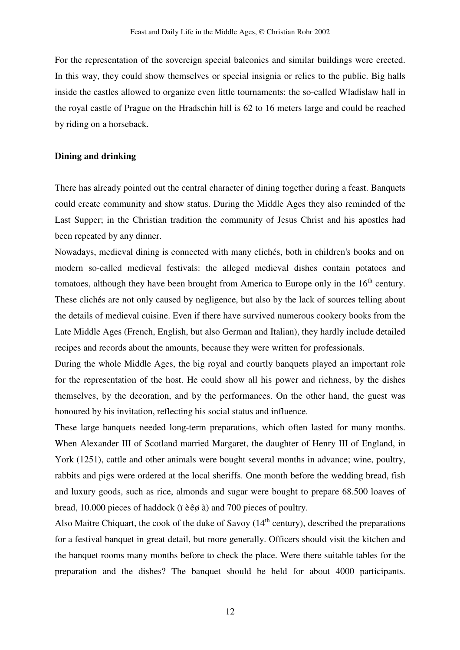For the representation of the sovereign special balconies and similar buildings were erected. In this way, they could show themselves or special insignia or relics to the public. Big halls inside the castles allowed to organize even little tournaments: the so-called Wladislaw hall in the royal castle of Prague on the Hradschin hill is 62 to 16 meters large and could be reached by riding on a horseback.

# **Dining and drinking**

There has already pointed out the central character of dining together during a feast. Banquets could create community and show status. During the Middle Ages they also reminded of the Last Supper; in the Christian tradition the community of Jesus Christ and his apostles had been repeated by any dinner.

Nowadays, medieval dining is connected with many clichés, both in children's books and on modern so-called medieval festivals: the alleged medieval dishes contain potatoes and tomatoes, although they have been brought from America to Europe only in the 16<sup>th</sup> century. These clichés are not only caused by negligence, but also by the lack of sources telling about the details of medieval cuisine. Even if there have survived numerous cookery books from the Late Middle Ages (French, English, but also German and Italian), they hardly include detailed recipes and records about the amounts, because they were written for professionals.

During the whole Middle Ages, the big royal and courtly banquets played an important role for the representation of the host. He could show all his power and richness, by the dishes themselves, by the decoration, and by the performances. On the other hand, the guest was honoured by his invitation, reflecting his social status and influence.

These large banquets needed long-term preparations, which often lasted for many months. When Alexander III of Scotland married Margaret, the daughter of Henry III of England, in York (1251), cattle and other animals were bought several months in advance; wine, poultry, rabbits and pigs were ordered at the local sheriffs. One month before the wedding bread, fish and luxury goods, such as rice, almonds and sugar were bought to prepare 68.500 loaves of bread, 10.000 pieces of haddock (ï èêø à) and 700 pieces of poultry.

Also Maitre Chiquart, the cook of the duke of Savoy  $(14<sup>th</sup>$  century), described the preparations for a festival banquet in great detail, but more generally. Officers should visit the kitchen and the banquet rooms many months before to check the place. Were there suitable tables for the preparation and the dishes? The banquet should be held for about 4000 participants.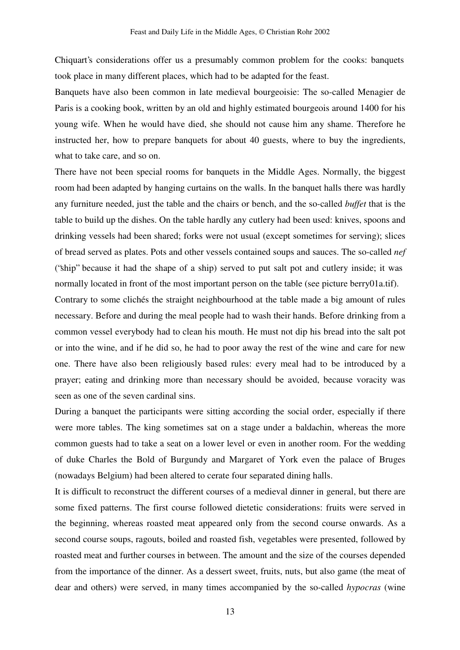Chiquart's considerations offer us a presumably common problem for the cooks: banquets took place in many different places, which had to be adapted for the feast.

Banquets have also been common in late medieval bourgeoisie: The so-called Menagier de Paris is a cooking book, written by an old and highly estimated bourgeois around 1400 for his young wife. When he would have died, she should not cause him any shame. Therefore he instructed her, how to prepare banquets for about 40 guests, where to buy the ingredients, what to take care, and so on.

There have not been special rooms for banquets in the Middle Ages. Normally, the biggest room had been adapted by hanging curtains on the walls. In the banquet halls there was hardly any furniture needed, just the table and the chairs or bench, and the so-called *buffet* that is the table to build up the dishes. On the table hardly any cutlery had been used: knives, spoons and drinking vessels had been shared; forks were not usual (except sometimes for serving); slices of bread served as plates. Pots and other vessels contained soups and sauces. The so-called *nef* ("ship" because it had the shape of a ship) served to put salt pot and cutlery inside; it was normally located in front of the most important person on the table (see picture berry01a.tif).

Contrary to some clichés the straight neighbourhood at the table made a big amount of rules necessary. Before and during the meal people had to wash their hands. Before drinking from a common vessel everybody had to clean his mouth. He must not dip his bread into the salt pot or into the wine, and if he did so, he had to poor away the rest of the wine and care for new one. There have also been religiously based rules: every meal had to be introduced by a prayer; eating and drinking more than necessary should be avoided, because voracity was seen as one of the seven cardinal sins.

During a banquet the participants were sitting according the social order, especially if there were more tables. The king sometimes sat on a stage under a baldachin, whereas the more common guests had to take a seat on a lower level or even in another room. For the wedding of duke Charles the Bold of Burgundy and Margaret of York even the palace of Bruges (nowadays Belgium) had been altered to cerate four separated dining halls.

It is difficult to reconstruct the different courses of a medieval dinner in general, but there are some fixed patterns. The first course followed dietetic considerations: fruits were served in the beginning, whereas roasted meat appeared only from the second course onwards. As a second course soups, ragouts, boiled and roasted fish, vegetables were presented, followed by roasted meat and further courses in between. The amount and the size of the courses depended from the importance of the dinner. As a dessert sweet, fruits, nuts, but also game (the meat of dear and others) were served, in many times accompanied by the so-called *hypocras* (wine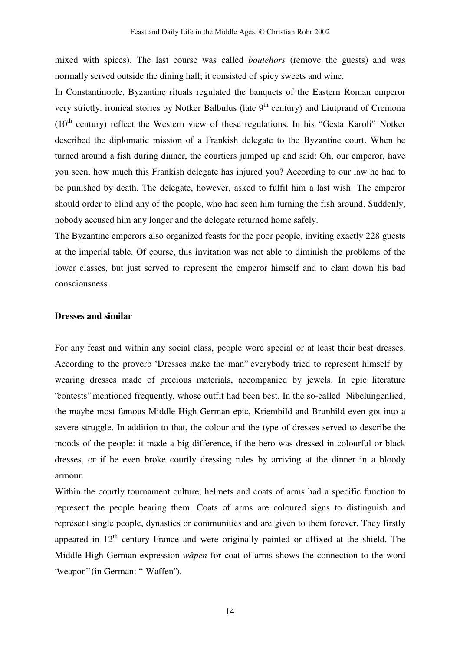mixed with spices). The last course was called *boutehors* (remove the guests) and was normally served outside the dining hall; it consisted of spicy sweets and wine.

In Constantinople, Byzantine rituals regulated the banquets of the Eastern Roman emperor very strictly. ironical stories by Notker Balbulus (late 9<sup>th</sup> century) and Liutprand of Cremona  $(10<sup>th</sup>$  century) reflect the Western view of these regulations. In his "Gesta Karoli" Notker described the diplomatic mission of a Frankish delegate to the Byzantine court. When he turned around a fish during dinner, the courtiers jumped up and said: Oh, our emperor, have you seen, how much this Frankish delegate has injured you? According to our law he had to be punished by death. The delegate, however, asked to fulfil him a last wish: The emperor should order to blind any of the people, who had seen him turning the fish around. Suddenly, nobody accused him any longer and the delegate returned home safely.

The Byzantine emperors also organized feasts for the poor people, inviting exactly 228 guests at the imperial table. Of course, this invitation was not able to diminish the problems of the lower classes, but just served to represent the emperor himself and to clam down his bad consciousness.

# **Dresses and similar**

For any feast and within any social class, people wore special or at least their best dresses. According to the proverb "Dresses make the man" everybody tried to represent himself by wearing dresses made of precious materials, accompanied by jewels. In epic literature "contests" mentioned frequently, whose outfit had been best. In the so-called Nibelungenlied, the maybe most famous Middle High German epic, Kriemhild and Brunhild even got into a severe struggle. In addition to that, the colour and the type of dresses served to describe the moods of the people: it made a big difference, if the hero was dressed in colourful or black dresses, or if he even broke courtly dressing rules by arriving at the dinner in a bloody armour.

Within the courtly tournament culture, helmets and coats of arms had a specific function to represent the people bearing them. Coats of arms are coloured signs to distinguish and represent single people, dynasties or communities and are given to them forever. They firstly appeared in  $12<sup>th</sup>$  century France and were originally painted or affixed at the shield. The Middle High German expression *wâpen* for coat of arms shows the connection to the word "weapon" (in German: "Waffen").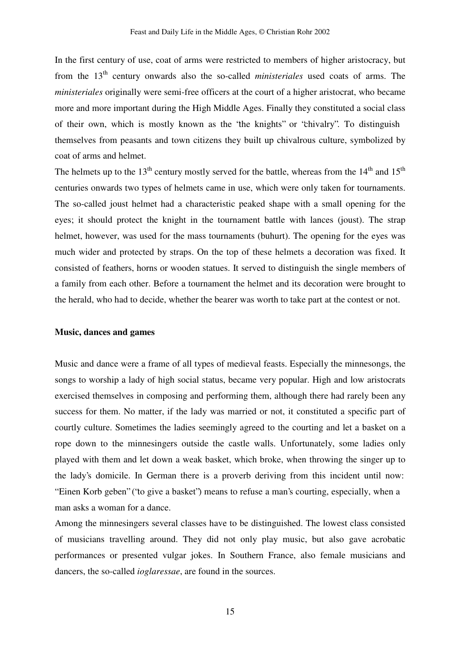In the first century of use, coat of arms were restricted to members of higher aristocracy, but from the 13<sup>th</sup> century onwards also the so-called *ministeriales* used coats of arms. The *ministeriales* originally were semi-free officers at the court of a higher aristocrat, who became more and more important during the High Middle Ages. Finally they constituted a social class of their own, which is mostly known as the "the knights" or "chivalry". To distinguish themselves from peasants and town citizens they built up chivalrous culture, symbolized by coat of arms and helmet.

The helmets up to the 13<sup>th</sup> century mostly served for the battle, whereas from the 14<sup>th</sup> and 15<sup>th</sup> centuries onwards two types of helmets came in use, which were only taken for tournaments. The so-called joust helmet had a characteristic peaked shape with a small opening for the eyes; it should protect the knight in the tournament battle with lances (joust). The strap helmet, however, was used for the mass tournaments (buhurt). The opening for the eyes was much wider and protected by straps. On the top of these helmets a decoration was fixed. It consisted of feathers, horns or wooden statues. It served to distinguish the single members of a family from each other. Before a tournament the helmet and its decoration were brought to the herald, who had to decide, whether the bearer was worth to take part at the contest or not.

#### **Music, dances and games**

Music and dance were a frame of all types of medieval feasts. Especially the minnesongs, the songs to worship a lady of high social status, became very popular. High and low aristocrats exercised themselves in composing and performing them, although there had rarely been any success for them. No matter, if the lady was married or not, it constituted a specific part of courtly culture. Sometimes the ladies seemingly agreed to the courting and let a basket on a rope down to the minnesingers outside the castle walls. Unfortunately, some ladies only played with them and let down a weak basket, which broke, when throwing the singer up to the lady's domicile. In German there is a proverb deriving from this incident until now: " Einen Korb geben" ("to give a basket") means to refuse a man's courting, especially, when a man asks a woman for a dance.

Among the minnesingers several classes have to be distinguished. The lowest class consisted of musicians travelling around. They did not only play music, but also gave acrobatic performances or presented vulgar jokes. In Southern France, also female musicians and dancers, the so-called *ioglaressae*, are found in the sources.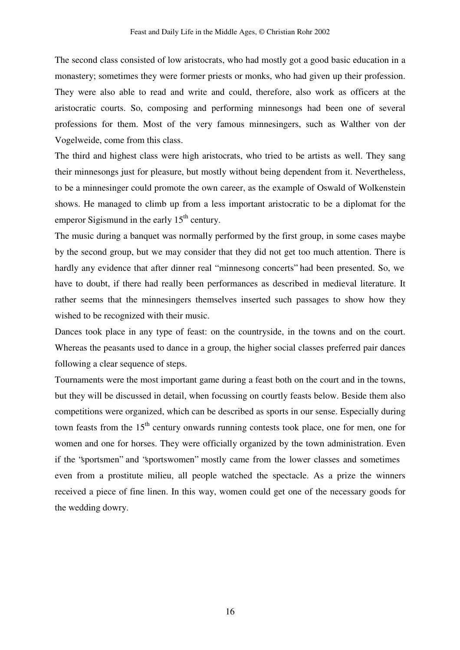The second class consisted of low aristocrats, who had mostly got a good basic education in a monastery; sometimes they were former priests or monks, who had given up their profession. They were also able to read and write and could, therefore, also work as officers at the aristocratic courts. So, composing and performing minnesongs had been one of several professions for them. Most of the very famous minnesingers, such as Walther von der Vogelweide, come from this class.

The third and highest class were high aristocrats, who tried to be artists as well. They sang their minnesongs just for pleasure, but mostly without being dependent from it. Nevertheless, to be a minnesinger could promote the own career, as the example of Oswald of Wolkenstein shows. He managed to climb up from a less important aristocratic to be a diplomat for the emperor Sigismund in the early  $15<sup>th</sup>$  century.

The music during a banquet was normally performed by the first group, in some cases maybe by the second group, but we may consider that they did not get too much attention. There is hardly any evidence that after dinner real "minnesong concerts" had been presented. So, we have to doubt, if there had really been performances as described in medieval literature. It rather seems that the minnesingers themselves inserted such passages to show how they wished to be recognized with their music.

Dances took place in any type of feast: on the countryside, in the towns and on the court. Whereas the peasants used to dance in a group, the higher social classes preferred pair dances following a clear sequence of steps.

Tournaments were the most important game during a feast both on the court and in the towns, but they will be discussed in detail, when focussing on courtly feasts below. Beside them also competitions were organized, which can be described as sports in our sense. Especially during town feasts from the 15<sup>th</sup> century onwards running contests took place, one for men, one for women and one for horses. They were officially organized by the town administration. Even if the "sportsmen" and "sportswomen" mostly came from the lower classes and sometimes even from a prostitute milieu, all people watched the spectacle. As a prize the winners received a piece of fine linen. In this way, women could get one of the necessary goods for the wedding dowry.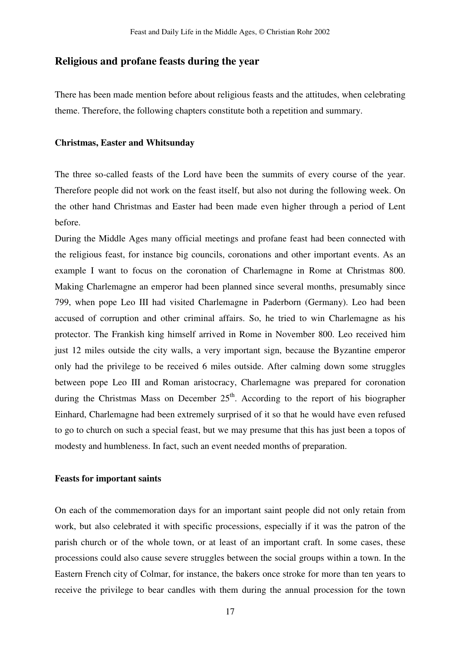# **Religious and profane feasts during the year**

There has been made mention before about religious feasts and the attitudes, when celebrating theme. Therefore, the following chapters constitute both a repetition and summary.

#### **Christmas, Easter and Whitsunday**

The three so-called feasts of the Lord have been the summits of every course of the year. Therefore people did not work on the feast itself, but also not during the following week. On the other hand Christmas and Easter had been made even higher through a period of Lent before.

During the Middle Ages many official meetings and profane feast had been connected with the religious feast, for instance big councils, coronations and other important events. As an example I want to focus on the coronation of Charlemagne in Rome at Christmas 800. Making Charlemagne an emperor had been planned since several months, presumably since 799, when pope Leo III had visited Charlemagne in Paderborn (Germany). Leo had been accused of corruption and other criminal affairs. So, he tried to win Charlemagne as his protector. The Frankish king himself arrived in Rome in November 800. Leo received him just 12 miles outside the city walls, a very important sign, because the Byzantine emperor only had the privilege to be received 6 miles outside. After calming down some struggles between pope Leo III and Roman aristocracy, Charlemagne was prepared for coronation during the Christmas Mass on December  $25<sup>th</sup>$ . According to the report of his biographer Einhard, Charlemagne had been extremely surprised of it so that he would have even refused to go to church on such a special feast, but we may presume that this has just been a topos of modesty and humbleness. In fact, such an event needed months of preparation.

#### **Feasts for important saints**

On each of the commemoration days for an important saint people did not only retain from work, but also celebrated it with specific processions, especially if it was the patron of the parish church or of the whole town, or at least of an important craft. In some cases, these processions could also cause severe struggles between the social groups within a town. In the Eastern French city of Colmar, for instance, the bakers once stroke for more than ten years to receive the privilege to bear candles with them during the annual procession for the town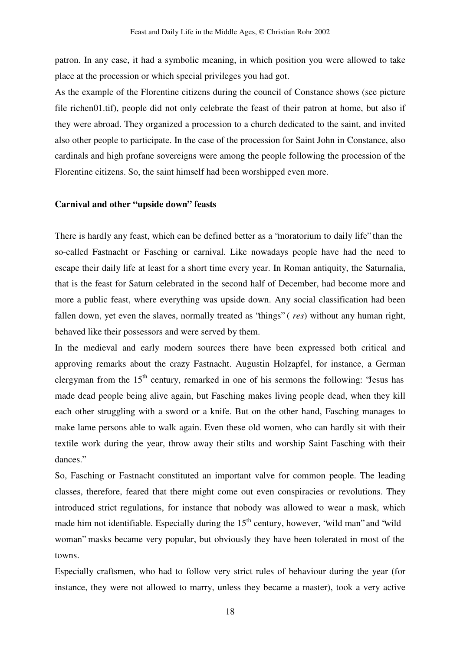patron. In any case, it had a symbolic meaning, in which position you were allowed to take place at the procession or which special privileges you had got.

As the example of the Florentine citizens during the council of Constance shows (see picture file richen01.tif), people did not only celebrate the feast of their patron at home, but also if they were abroad. They organized a procession to a church dedicated to the saint, and invited also other people to participate. In the case of the procession for Saint John in Constance, also cardinals and high profane sovereigns were among the people following the procession of the Florentine citizens. So, the saint himself had been worshipped even more.

#### **Carnival and other "upside down" feasts**

There is hardly any feast, which can be defined better as a "moratorium to daily life" than the so-called Fastnacht or Fasching or carnival. Like nowadays people have had the need to escape their daily life at least for a short time every year. In Roman antiquity, the Saturnalia, that is the feast for Saturn celebrated in the second half of December, had become more and more a public feast, where everything was upside down. Any social classification had been fallen down, yet even the slaves, normally treated as "things" ( *res*) without any human right, behaved like their possessors and were served by them.

In the medieval and early modern sources there have been expressed both critical and approving remarks about the crazy Fastnacht. Augustin Holzapfel, for instance, a German clergyman from the  $15<sup>th</sup>$  century, remarked in one of his sermons the following: 'Jesus has made dead people being alive again, but Fasching makes living people dead, when they kill each other struggling with a sword or a knife. But on the other hand, Fasching manages to make lame persons able to walk again. Even these old women, who can hardly sit with their textile work during the year, throw away their stilts and worship Saint Fasching with their dances."

So, Fasching or Fastnacht constituted an important valve for common people. The leading classes, therefore, feared that there might come out even conspiracies or revolutions. They introduced strict regulations, for instance that nobody was allowed to wear a mask, which made him not identifiable. Especially during the 15<sup>th</sup> century, however, "wild man" and "wild woman" masks became very popular, but obviously they have been tolerated in most of the towns.

Especially craftsmen, who had to follow very strict rules of behaviour during the year (for instance, they were not allowed to marry, unless they became a master), took a very active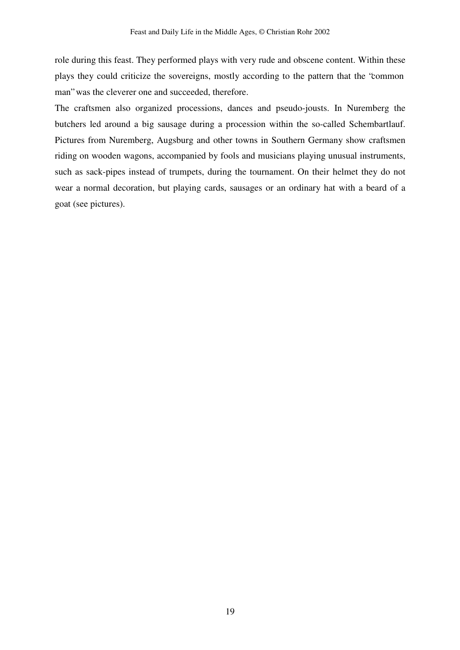role during this feast. They performed plays with very rude and obscene content. Within these plays they could criticize the sovereigns, mostly according to the pattern that the "common man" was the cleverer one and succeeded, therefore.

The craftsmen also organized processions, dances and pseudo-jousts. In Nuremberg the butchers led around a big sausage during a procession within the so-called Schembartlauf. Pictures from Nuremberg, Augsburg and other towns in Southern Germany show craftsmen riding on wooden wagons, accompanied by fools and musicians playing unusual instruments, such as sack-pipes instead of trumpets, during the tournament. On their helmet they do not wear a normal decoration, but playing cards, sausages or an ordinary hat with a beard of a goat (see pictures).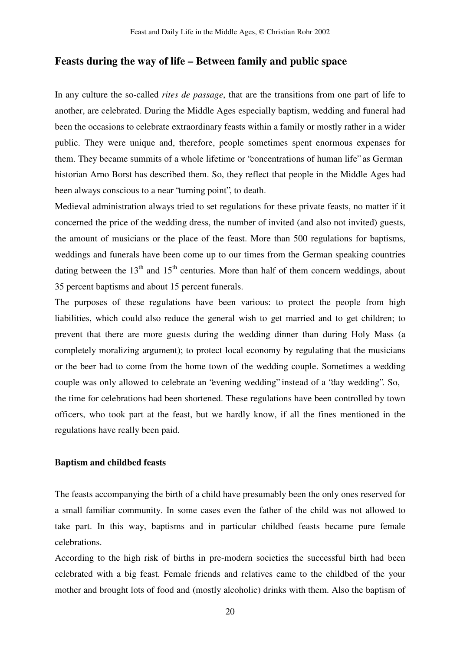# **Feasts during the way of life – Between family and public space**

In any culture the so-called *rites de passage*, that are the transitions from one part of life to another, are celebrated. During the Middle Ages especially baptism, wedding and funeral had been the occasions to celebrate extraordinary feasts within a family or mostly rather in a wider public. They were unique and, therefore, people sometimes spent enormous expenses for them. They became summits of a whole lifetime or "concentrations of human life" as German historian Arno Borst has described them. So, they reflect that people in the Middle Ages had been always conscious to a near "turning point", to death.

Medieval administration always tried to set regulations for these private feasts, no matter if it concerned the price of the wedding dress, the number of invited (and also not invited) guests, the amount of musicians or the place of the feast. More than 500 regulations for baptisms, weddings and funerals have been come up to our times from the German speaking countries dating between the 13<sup>th</sup> and 15<sup>th</sup> centuries. More than half of them concern weddings, about 35 percent baptisms and about 15 percent funerals.

The purposes of these regulations have been various: to protect the people from high liabilities, which could also reduce the general wish to get married and to get children; to prevent that there are more guests during the wedding dinner than during Holy Mass (a completely moralizing argument); to protect local economy by regulating that the musicians or the beer had to come from the home town of the wedding couple. Sometimes a wedding couple was only allowed to celebrate an "evening wedding" instead of a "day wedding". So, the time for celebrations had been shortened. These regulations have been controlled by town officers, who took part at the feast, but we hardly know, if all the fines mentioned in the regulations have really been paid.

# **Baptism and childbed feasts**

The feasts accompanying the birth of a child have presumably been the only ones reserved for a small familiar community. In some cases even the father of the child was not allowed to take part. In this way, baptisms and in particular childbed feasts became pure female celebrations.

According to the high risk of births in pre-modern societies the successful birth had been celebrated with a big feast. Female friends and relatives came to the childbed of the your mother and brought lots of food and (mostly alcoholic) drinks with them. Also the baptism of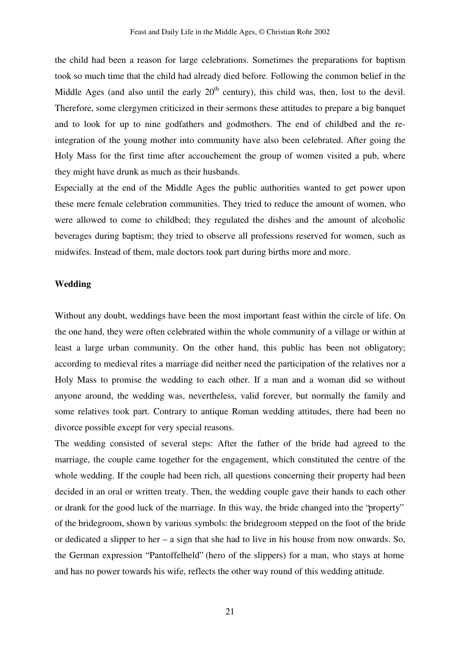the child had been a reason for large celebrations. Sometimes the preparations for baptism took so much time that the child had already died before. Following the common belief in the Middle Ages (and also until the early  $20<sup>th</sup>$  century), this child was, then, lost to the devil. Therefore, some clergymen criticized in their sermons these attitudes to prepare a big banquet and to look for up to nine godfathers and godmothers. The end of childbed and the reintegration of the young mother into community have also been celebrated. After going the Holy Mass for the first time after accouchement the group of women visited a pub, where they might have drunk as much as their husbands.

Especially at the end of the Middle Ages the public authorities wanted to get power upon these mere female celebration communities. They tried to reduce the amount of women, who were allowed to come to childbed; they regulated the dishes and the amount of alcoholic beverages during baptism; they tried to observe all professions reserved for women, such as midwifes. Instead of them, male doctors took part during births more and more.

#### **Wedding**

Without any doubt, weddings have been the most important feast within the circle of life. On the one hand, they were often celebrated within the whole community of a village or within at least a large urban community. On the other hand, this public has been not obligatory; according to medieval rites a marriage did neither need the participation of the relatives nor a Holy Mass to promise the wedding to each other. If a man and a woman did so without anyone around, the wedding was, nevertheless, valid forever, but normally the family and some relatives took part. Contrary to antique Roman wedding attitudes, there had been no divorce possible except for very special reasons.

The wedding consisted of several steps: After the father of the bride had agreed to the marriage, the couple came together for the engagement, which constituted the centre of the whole wedding. If the couple had been rich, all questions concerning their property had been decided in an oral or written treaty. Then, the wedding couple gave their hands to each other or drank for the good luck of the marriage. In this way, the bride changed into the "property" of the bridegroom, shown by various symbols: the bridegroom stepped on the foot of the bride or dedicated a slipper to her – a sign that she had to live in his house from now onwards. So, the German expression "Pantoffelheld" (hero of the slippers) for a man, who stays at home and has no power towards his wife, reflects the other way round of this wedding attitude.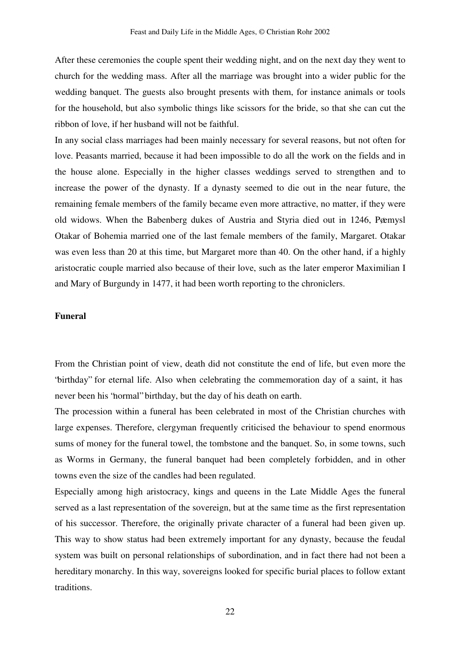After these ceremonies the couple spent their wedding night, and on the next day they went to church for the wedding mass. After all the marriage was brought into a wider public for the wedding banquet. The guests also brought presents with them, for instance animals or tools for the household, but also symbolic things like scissors for the bride, so that she can cut the ribbon of love, if her husband will not be faithful.

In any social class marriages had been mainly necessary for several reasons, but not often for love. Peasants married, because it had been impossible to do all the work on the fields and in the house alone. Especially in the higher classes weddings served to strengthen and to increase the power of the dynasty. If a dynasty seemed to die out in the near future, the remaining female members of the family became even more attractive, no matter, if they were old widows. When the Babenberg dukes of Austria and Styria died out in 1246, Pøemysl Otakar of Bohemia married one of the last female members of the family, Margaret. Otakar was even less than 20 at this time, but Margaret more than 40. On the other hand, if a highly aristocratic couple married also because of their love, such as the later emperor Maximilian I and Mary of Burgundy in 1477, it had been worth reporting to the chroniclers.

## **Funeral**

From the Christian point of view, death did not constitute the end of life, but even more the "birthday" for eternal life. Also when celebrating the commemoration day of a saint, it has never been his "normal" birthday, but the day of his death on earth.

The procession within a funeral has been celebrated in most of the Christian churches with large expenses. Therefore, clergyman frequently criticised the behaviour to spend enormous sums of money for the funeral towel, the tombstone and the banquet. So, in some towns, such as Worms in Germany, the funeral banquet had been completely forbidden, and in other towns even the size of the candles had been regulated.

Especially among high aristocracy, kings and queens in the Late Middle Ages the funeral served as a last representation of the sovereign, but at the same time as the first representation of his successor. Therefore, the originally private character of a funeral had been given up. This way to show status had been extremely important for any dynasty, because the feudal system was built on personal relationships of subordination, and in fact there had not been a hereditary monarchy. In this way, sovereigns looked for specific burial places to follow extant traditions.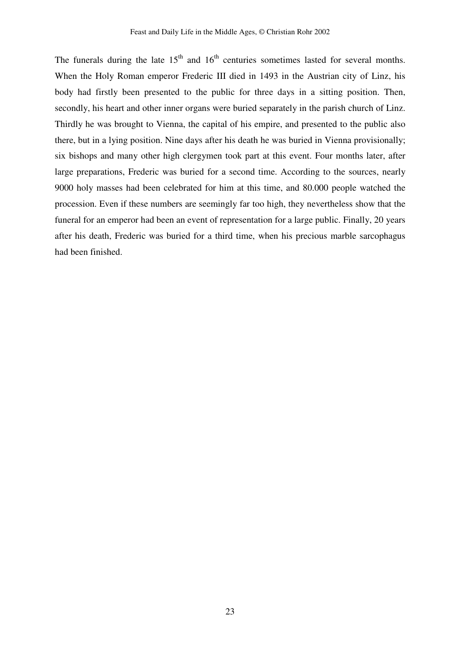The funerals during the late  $15<sup>th</sup>$  and  $16<sup>th</sup>$  centuries sometimes lasted for several months. When the Holy Roman emperor Frederic III died in 1493 in the Austrian city of Linz, his body had firstly been presented to the public for three days in a sitting position. Then, secondly, his heart and other inner organs were buried separately in the parish church of Linz. Thirdly he was brought to Vienna, the capital of his empire, and presented to the public also there, but in a lying position. Nine days after his death he was buried in Vienna provisionally; six bishops and many other high clergymen took part at this event. Four months later, after large preparations, Frederic was buried for a second time. According to the sources, nearly 9000 holy masses had been celebrated for him at this time, and 80.000 people watched the procession. Even if these numbers are seemingly far too high, they nevertheless show that the funeral for an emperor had been an event of representation for a large public. Finally, 20 years after his death, Frederic was buried for a third time, when his precious marble sarcophagus had been finished.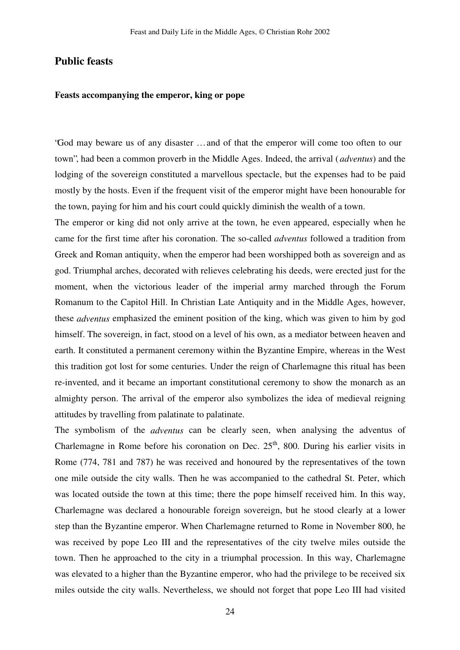# **Public feasts**

## **Feasts accompanying the emperor, king or pope**

"God may beware us of any disaster … and of that the emperor will come too often to our town", had been a common proverb in the Middle Ages. Indeed, the arrival ( *adventus*) and the lodging of the sovereign constituted a marvellous spectacle, but the expenses had to be paid mostly by the hosts. Even if the frequent visit of the emperor might have been honourable for the town, paying for him and his court could quickly diminish the wealth of a town.

The emperor or king did not only arrive at the town, he even appeared, especially when he came for the first time after his coronation. The so-called *adventus* followed a tradition from Greek and Roman antiquity, when the emperor had been worshipped both as sovereign and as god. Triumphal arches, decorated with relieves celebrating his deeds, were erected just for the moment, when the victorious leader of the imperial army marched through the Forum Romanum to the Capitol Hill. In Christian Late Antiquity and in the Middle Ages, however, these *adventus* emphasized the eminent position of the king, which was given to him by god himself. The sovereign, in fact, stood on a level of his own, as a mediator between heaven and earth. It constituted a permanent ceremony within the Byzantine Empire, whereas in the West this tradition got lost for some centuries. Under the reign of Charlemagne this ritual has been re-invented, and it became an important constitutional ceremony to show the monarch as an almighty person. The arrival of the emperor also symbolizes the idea of medieval reigning attitudes by travelling from palatinate to palatinate.

The symbolism of the *adventus* can be clearly seen, when analysing the adventus of Charlemagne in Rome before his coronation on Dec.  $25<sup>th</sup>$ , 800. During his earlier visits in Rome (774, 781 and 787) he was received and honoured by the representatives of the town one mile outside the city walls. Then he was accompanied to the cathedral St. Peter, which was located outside the town at this time; there the pope himself received him. In this way, Charlemagne was declared a honourable foreign sovereign, but he stood clearly at a lower step than the Byzantine emperor. When Charlemagne returned to Rome in November 800, he was received by pope Leo III and the representatives of the city twelve miles outside the town. Then he approached to the city in a triumphal procession. In this way, Charlemagne was elevated to a higher than the Byzantine emperor, who had the privilege to be received six miles outside the city walls. Nevertheless, we should not forget that pope Leo III had visited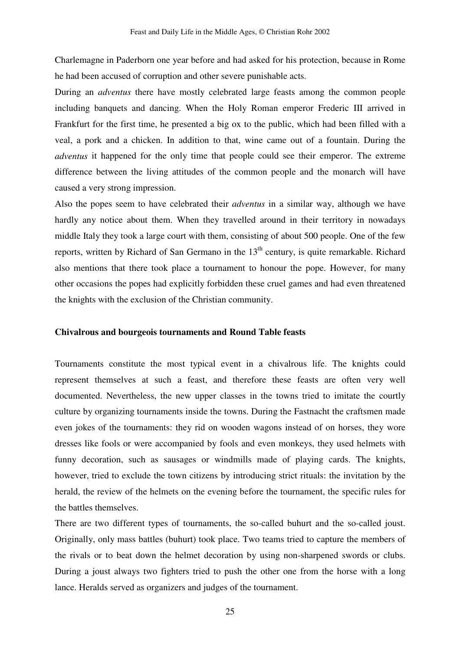Charlemagne in Paderborn one year before and had asked for his protection, because in Rome he had been accused of corruption and other severe punishable acts.

During an *adventus* there have mostly celebrated large feasts among the common people including banquets and dancing. When the Holy Roman emperor Frederic III arrived in Frankfurt for the first time, he presented a big ox to the public, which had been filled with a veal, a pork and a chicken. In addition to that, wine came out of a fountain. During the *adventus* it happened for the only time that people could see their emperor. The extreme difference between the living attitudes of the common people and the monarch will have caused a very strong impression.

Also the popes seem to have celebrated their *adventus* in a similar way, although we have hardly any notice about them. When they travelled around in their territory in nowadays middle Italy they took a large court with them, consisting of about 500 people. One of the few reports, written by Richard of San Germano in the 13<sup>th</sup> century, is quite remarkable. Richard also mentions that there took place a tournament to honour the pope. However, for many other occasions the popes had explicitly forbidden these cruel games and had even threatened the knights with the exclusion of the Christian community.

# **Chivalrous and bourgeois tournaments and Round Table feasts**

Tournaments constitute the most typical event in a chivalrous life. The knights could represent themselves at such a feast, and therefore these feasts are often very well documented. Nevertheless, the new upper classes in the towns tried to imitate the courtly culture by organizing tournaments inside the towns. During the Fastnacht the craftsmen made even jokes of the tournaments: they rid on wooden wagons instead of on horses, they wore dresses like fools or were accompanied by fools and even monkeys, they used helmets with funny decoration, such as sausages or windmills made of playing cards. The knights, however, tried to exclude the town citizens by introducing strict rituals: the invitation by the herald, the review of the helmets on the evening before the tournament, the specific rules for the battles themselves.

There are two different types of tournaments, the so-called buhurt and the so-called joust. Originally, only mass battles (buhurt) took place. Two teams tried to capture the members of the rivals or to beat down the helmet decoration by using non-sharpened swords or clubs. During a joust always two fighters tried to push the other one from the horse with a long lance. Heralds served as organizers and judges of the tournament.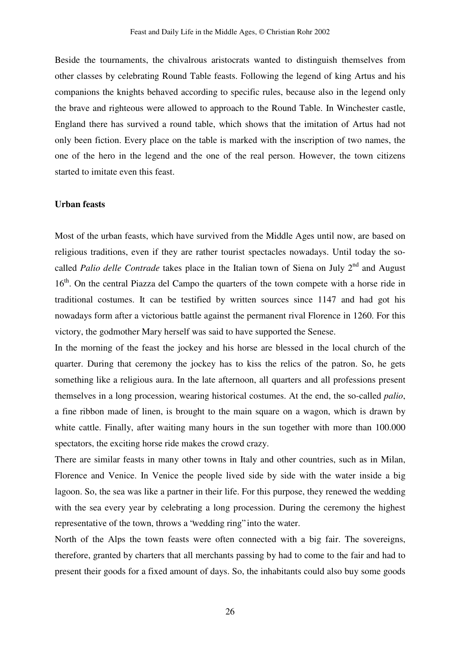Beside the tournaments, the chivalrous aristocrats wanted to distinguish themselves from other classes by celebrating Round Table feasts. Following the legend of king Artus and his companions the knights behaved according to specific rules, because also in the legend only the brave and righteous were allowed to approach to the Round Table. In Winchester castle, England there has survived a round table, which shows that the imitation of Artus had not only been fiction. Every place on the table is marked with the inscription of two names, the one of the hero in the legend and the one of the real person. However, the town citizens started to imitate even this feast.

#### **Urban feasts**

Most of the urban feasts, which have survived from the Middle Ages until now, are based on religious traditions, even if they are rather tourist spectacles nowadays. Until today the socalled *Palio delle Contrade* takes place in the Italian town of Siena on July 2<sup>nd</sup> and August 16<sup>th</sup>. On the central Piazza del Campo the quarters of the town compete with a horse ride in traditional costumes. It can be testified by written sources since 1147 and had got his nowadays form after a victorious battle against the permanent rival Florence in 1260. For this victory, the godmother Mary herself was said to have supported the Senese.

In the morning of the feast the jockey and his horse are blessed in the local church of the quarter. During that ceremony the jockey has to kiss the relics of the patron. So, he gets something like a religious aura. In the late afternoon, all quarters and all professions present themselves in a long procession, wearing historical costumes. At the end, the so-called *palio*, a fine ribbon made of linen, is brought to the main square on a wagon, which is drawn by white cattle. Finally, after waiting many hours in the sun together with more than 100.000 spectators, the exciting horse ride makes the crowd crazy.

There are similar feasts in many other towns in Italy and other countries, such as in Milan, Florence and Venice. In Venice the people lived side by side with the water inside a big lagoon. So, the sea was like a partner in their life. For this purpose, they renewed the wedding with the sea every year by celebrating a long procession. During the ceremony the highest representative of the town, throws a "wedding ring" into the water.

North of the Alps the town feasts were often connected with a big fair. The sovereigns, therefore, granted by charters that all merchants passing by had to come to the fair and had to present their goods for a fixed amount of days. So, the inhabitants could also buy some goods